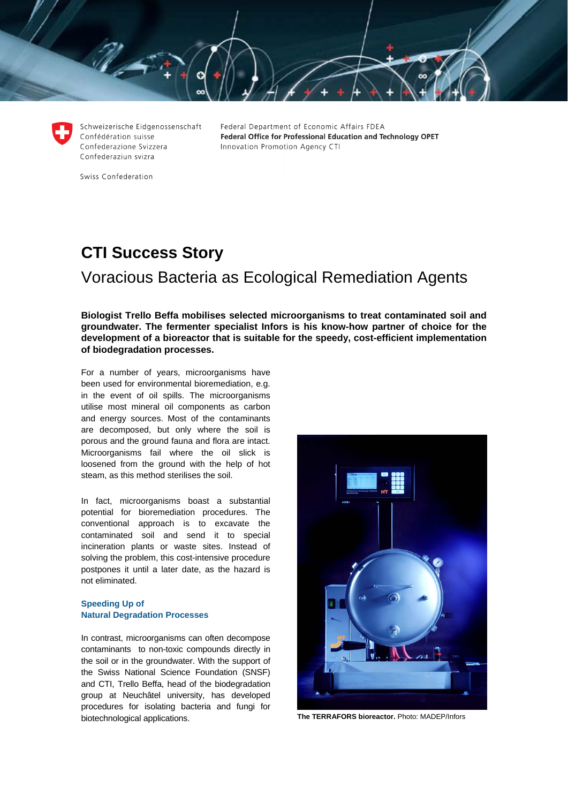Schweizerische Eidgenossenschaft Confédération suisse Confederazione Svizzera Confederaziun svizra

Federal Department of Economic Affairs FDEA Federal Office for Professional Education and Technology OPET Innovation Promotion Agency CTI

Swiss Confederation

# **CTI Success Story**  Voracious Bacteria as Ecological Remediation Agents

**Biologist Trello Beffa mobilises selected microorganisms to treat contaminated soil and groundwater. The fermenter specialist Infors is his know-how partner of choice for the development of a bioreactor that is suitable for the speedy, cost-efficient implementation of biodegradation processes.** 

For a number of years, microorganisms have been used for environmental bioremediation, e.g. in the event of oil spills. The microorganisms utilise most mineral oil components as carbon and energy sources. Most of the contaminants are decomposed, but only where the soil is porous and the ground fauna and flora are intact. Microorganisms fail where the oil slick is loosened from the ground with the help of hot steam, as this method sterilises the soil.

In fact, microorganisms boast a substantial potential for bioremediation procedures. The conventional approach is to excavate the contaminated soil and send it to special incineration plants or waste sites. Instead of solving the problem, this cost-intensive procedure postpones it until a later date, as the hazard is not eliminated.

## **Speeding Up of Natural Degradation Processes**

In contrast, microorganisms can often decompose contaminants to non-toxic compounds directly in the soil or in the groundwater. With the support of the Swiss National Science Foundation (SNSF) and CTI, Trello Beffa, head of the biodegradation group at Neuchâtel university, has developed procedures for isolating bacteria and fungi for biotechnological applications. **The TERRAFORS bioreactor.** Photo: MADEP/Infors